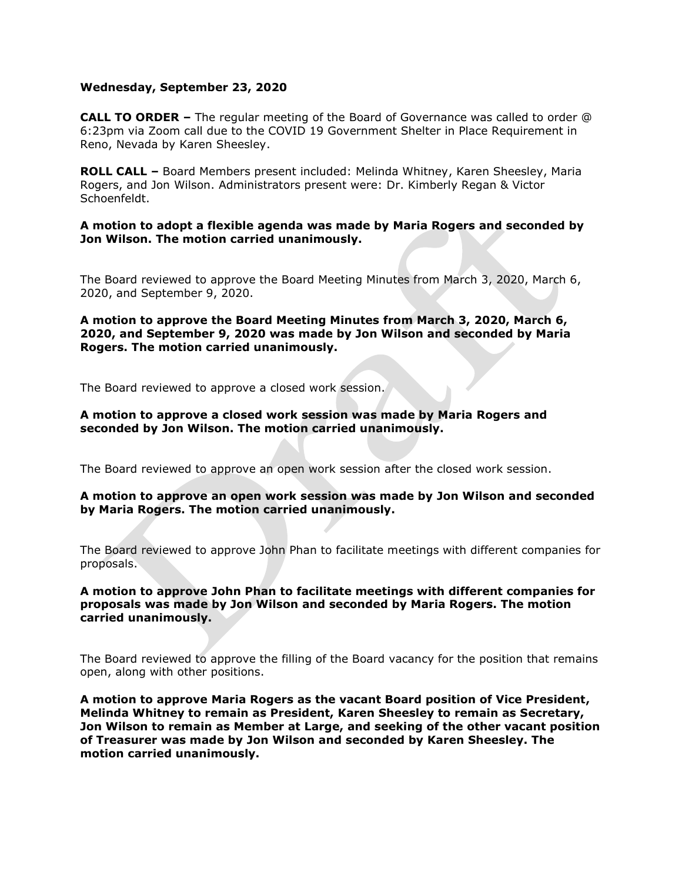## **Wednesday, September 23, 2020**

**CALL TO ORDER –** The regular meeting of the Board of Governance was called to order @ 6:23pm via Zoom call due to the COVID 19 Government Shelter in Place Requirement in Reno, Nevada by Karen Sheesley.

**ROLL CALL –** Board Members present included: Melinda Whitney, Karen Sheesley, Maria Rogers, and Jon Wilson. Administrators present were: Dr. Kimberly Regan & Victor Schoenfeldt.

## **A motion to adopt a flexible agenda was made by Maria Rogers and seconded by Jon Wilson. The motion carried unanimously.**

The Board reviewed to approve the Board Meeting Minutes from March 3, 2020, March 6, 2020, and September 9, 2020.

## **A motion to approve the Board Meeting Minutes from March 3, 2020, March 6, 2020, and September 9, 2020 was made by Jon Wilson and seconded by Maria Rogers. The motion carried unanimously.**

The Board reviewed to approve a closed work session.

## **A motion to approve a closed work session was made by Maria Rogers and seconded by Jon Wilson. The motion carried unanimously.**

The Board reviewed to approve an open work session after the closed work session.

## **A motion to approve an open work session was made by Jon Wilson and seconded by Maria Rogers. The motion carried unanimously.**

The Board reviewed to approve John Phan to facilitate meetings with different companies for proposals.

# **A motion to approve John Phan to facilitate meetings with different companies for proposals was made by Jon Wilson and seconded by Maria Rogers. The motion carried unanimously.**

The Board reviewed to approve the filling of the Board vacancy for the position that remains open, along with other positions.

**A motion to approve Maria Rogers as the vacant Board position of Vice President, Melinda Whitney to remain as President, Karen Sheesley to remain as Secretary, Jon Wilson to remain as Member at Large, and seeking of the other vacant position of Treasurer was made by Jon Wilson and seconded by Karen Sheesley. The motion carried unanimously.**